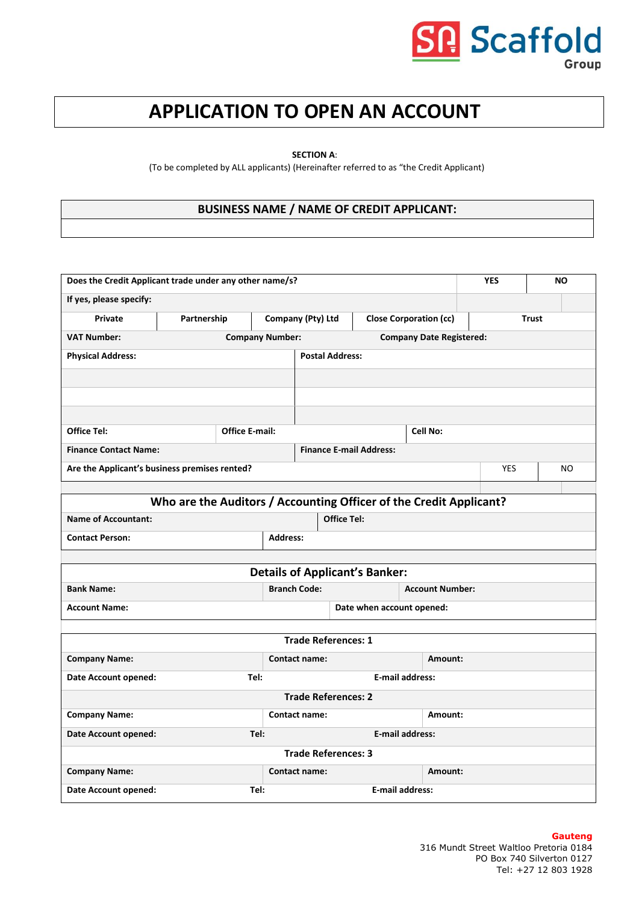# P Scaffold Group

## **APPLICATION TO OPEN AN ACCOUNT**

**SECTION A**:

(To be completed by ALL applicants) (Hereinafter referred to as "the Credit Applicant)

## **BUSINESS NAME / NAME OF CREDIT APPLICANT:**

| Does the Credit Applicant trade under any other name/s?       |                                                                    |                                |                                                    |                                | <b>YES</b>                |                                 | <b>NO</b>    |            |  |     |
|---------------------------------------------------------------|--------------------------------------------------------------------|--------------------------------|----------------------------------------------------|--------------------------------|---------------------------|---------------------------------|--------------|------------|--|-----|
| If yes, please specify:                                       |                                                                    |                                |                                                    |                                |                           |                                 |              |            |  |     |
| Private                                                       | Partnership                                                        |                                | Company (Pty) Ltd<br><b>Close Corporation (cc)</b> |                                |                           |                                 | <b>Trust</b> |            |  |     |
| <b>VAT Number:</b>                                            |                                                                    | <b>Company Number:</b>         |                                                    |                                |                           | <b>Company Date Registered:</b> |              |            |  |     |
| <b>Physical Address:</b>                                      |                                                                    |                                | <b>Postal Address:</b>                             |                                |                           |                                 |              |            |  |     |
|                                                               |                                                                    |                                |                                                    |                                |                           |                                 |              |            |  |     |
|                                                               |                                                                    |                                |                                                    |                                |                           |                                 |              |            |  |     |
|                                                               |                                                                    |                                |                                                    |                                |                           |                                 |              |            |  |     |
| Office Tel:                                                   | <b>Office E-mail:</b>                                              |                                |                                                    |                                |                           | Cell No:                        |              |            |  |     |
| <b>Finance Contact Name:</b>                                  |                                                                    |                                |                                                    | <b>Finance E-mail Address:</b> |                           |                                 |              |            |  |     |
|                                                               | Are the Applicant's business premises rented?                      |                                |                                                    |                                |                           |                                 |              | <b>YES</b> |  | NO. |
|                                                               |                                                                    |                                |                                                    |                                |                           |                                 |              |            |  |     |
|                                                               | Who are the Auditors / Accounting Officer of the Credit Applicant? |                                |                                                    |                                |                           |                                 |              |            |  |     |
| <b>Name of Accountant:</b>                                    |                                                                    |                                |                                                    | <b>Office Tel:</b>             |                           |                                 |              |            |  |     |
| <b>Contact Person:</b>                                        |                                                                    | <b>Address:</b>                |                                                    |                                |                           |                                 |              |            |  |     |
|                                                               | <b>Details of Applicant's Banker:</b>                              |                                |                                                    |                                |                           |                                 |              |            |  |     |
|                                                               |                                                                    |                                | <b>Branch Code:</b>                                |                                |                           | <b>Account Number:</b>          |              |            |  |     |
| <b>Bank Name:</b>                                             |                                                                    |                                |                                                    |                                | Date when account opened: |                                 |              |            |  |     |
| <b>Account Name:</b>                                          |                                                                    |                                |                                                    |                                |                           |                                 |              |            |  |     |
|                                                               |                                                                    |                                | <b>Trade References: 1</b>                         |                                |                           |                                 |              |            |  |     |
| <b>Company Name:</b>                                          |                                                                    |                                | <b>Contact name:</b>                               |                                |                           | Amount:                         |              |            |  |     |
| <b>E-mail address:</b><br><b>Date Account opened:</b><br>Tel: |                                                                    |                                |                                                    |                                |                           |                                 |              |            |  |     |
|                                                               | <b>Trade References: 2</b>                                         |                                |                                                    |                                |                           |                                 |              |            |  |     |
| <b>Company Name:</b><br>Contact name:<br>Amount:              |                                                                    |                                |                                                    |                                |                           |                                 |              |            |  |     |
| <b>Date Account opened:</b>                                   | <b>E-mail address:</b><br>Tel:                                     |                                |                                                    |                                |                           |                                 |              |            |  |     |
| <b>Trade References: 3</b>                                    |                                                                    |                                |                                                    |                                |                           |                                 |              |            |  |     |
| <b>Company Name:</b><br>Contact name:<br>Amount:              |                                                                    |                                |                                                    |                                |                           |                                 |              |            |  |     |
| Date Account opened:                                          |                                                                    | Tel:<br><b>E-mail address:</b> |                                                    |                                |                           |                                 |              |            |  |     |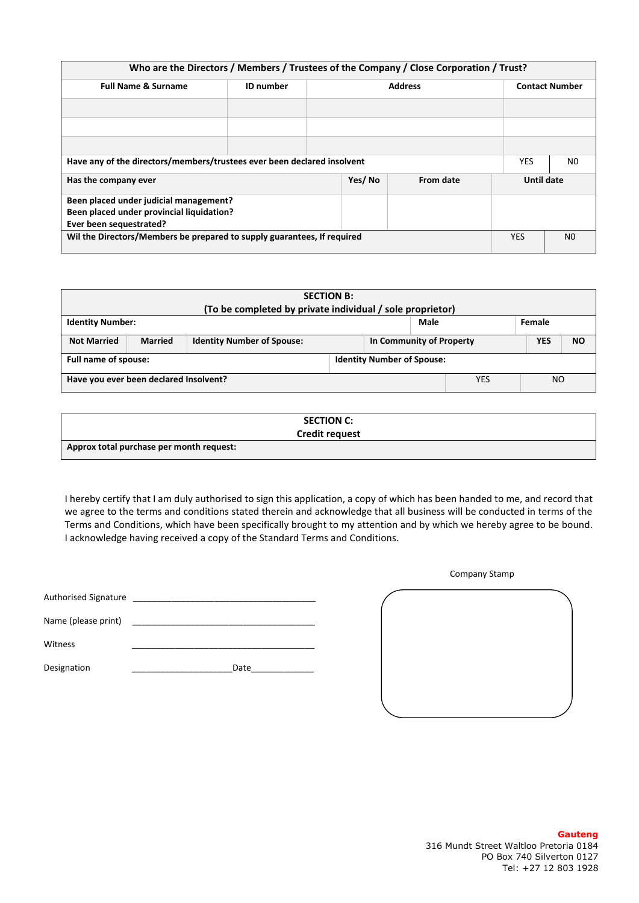|                                                                         |                                                                         |                |  | Who are the Directors / Members / Trustees of the Company / Close Corporation / Trust? |                |                       |  |
|-------------------------------------------------------------------------|-------------------------------------------------------------------------|----------------|--|----------------------------------------------------------------------------------------|----------------|-----------------------|--|
| <b>Full Name &amp; Surname</b>                                          | <b>ID</b> number                                                        | <b>Address</b> |  |                                                                                        |                | <b>Contact Number</b> |  |
|                                                                         |                                                                         |                |  |                                                                                        |                |                       |  |
|                                                                         |                                                                         |                |  |                                                                                        |                |                       |  |
|                                                                         |                                                                         |                |  |                                                                                        |                |                       |  |
|                                                                         | Have any of the directors/members/trustees ever been declared insolvent |                |  |                                                                                        |                |                       |  |
| Yes/No<br>From date<br>Has the company ever                             |                                                                         |                |  |                                                                                        | Until date     |                       |  |
| Been placed under judicial management?                                  |                                                                         |                |  |                                                                                        |                |                       |  |
| Been placed under provincial liquidation?                               |                                                                         |                |  |                                                                                        |                |                       |  |
| Ever been sequestrated?                                                 |                                                                         |                |  |                                                                                        |                |                       |  |
| Wil the Directors/Members be prepared to supply guarantees, If required |                                                                         |                |  | <b>YES</b>                                                                             | N <sub>0</sub> |                       |  |

| <b>SECTION B:</b><br>(To be completed by private individual / sole proprietor) |                |                                   |                          |            |                |            |           |
|--------------------------------------------------------------------------------|----------------|-----------------------------------|--------------------------|------------|----------------|------------|-----------|
| Male<br><b>Identity Number:</b><br>Female                                      |                |                                   |                          |            |                |            |           |
| <b>Not Married</b>                                                             | <b>Married</b> | <b>Identity Number of Spouse:</b> | In Community of Property |            |                | <b>YES</b> | <b>NO</b> |
| Full name of spouse:<br><b>Identity Number of Spouse:</b>                      |                |                                   |                          |            |                |            |           |
| Have you ever been declared Insolvent?                                         |                |                                   |                          | <b>YES</b> | N <sub>O</sub> |            |           |

| <b>SECTION C:</b>                        |  |
|------------------------------------------|--|
| <b>Credit request</b>                    |  |
| Approx total purchase per month request: |  |

I hereby certify that I am duly authorised to sign this application, a copy of which has been handed to me, and record that we agree to the terms and conditions stated therein and acknowledge that all business will be conducted in terms of the Terms and Conditions, which have been specifically brought to my attention and by which we hereby agree to be bound. I acknowledge having received a copy of the Standard Terms and Conditions.

| <b>Authorised Signature</b> |                          |
|-----------------------------|--------------------------|
| Name (please print)         | <u> 1989 - Andre Sta</u> |
| Witness                     |                          |
| Designation                 | Date                     |

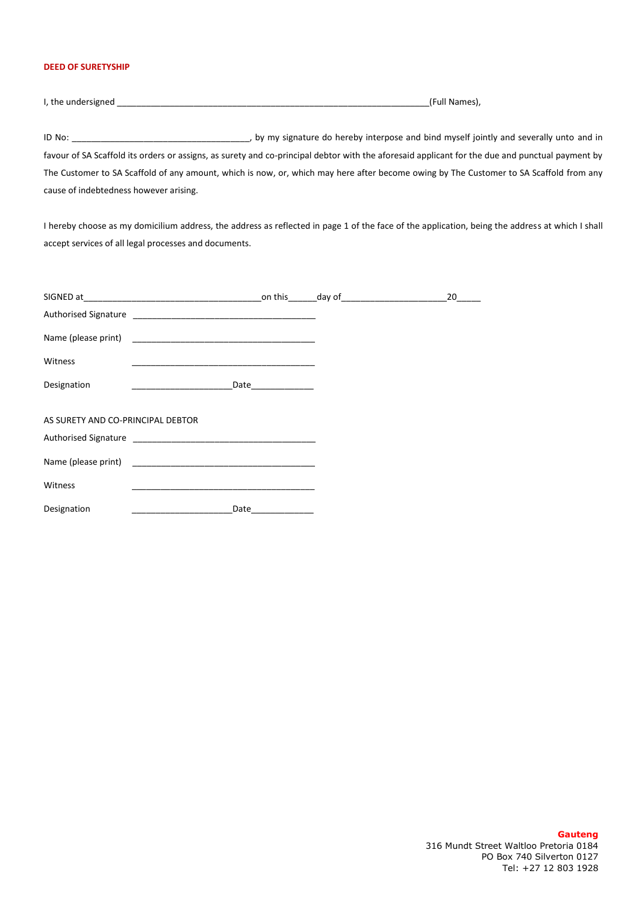## **DEED OF SURETYSHIP**

I, the undersigned \_\_\_\_\_\_\_\_\_\_\_\_\_\_\_\_\_\_\_\_\_\_\_\_\_\_\_\_\_\_\_\_\_\_\_\_\_\_\_\_\_\_\_\_\_\_\_\_\_\_\_\_\_\_\_\_\_\_\_\_\_\_\_\_\_(Full Names),

ID No: **ID No: ID No: EXECUTE:** THE MOST ASSEM MUST A MOST A MUST A MOST A MUST A MUST A MUST A MUST A MUST A MUST A MUST A MUST A MUST A MUST A MUST A MUST A MUST A MUST A MUST A MUST A MUST A MUST A MUST A MUST A MUS favour of SA Scaffold its orders or assigns, as surety and co-principal debtor with the aforesaid applicant for the due and punctual payment by The Customer to SA Scaffold of any amount, which is now, or, which may here after become owing by The Customer to SA Scaffold from any cause of indebtedness however arising.

I hereby choose as my domicilium address, the address as reflected in page 1 of the face of the application, being the address at which I shall accept services of all legal processes and documents.

|                                   |                                                              |                       | 20 |
|-----------------------------------|--------------------------------------------------------------|-----------------------|----|
|                                   |                                                              |                       |    |
|                                   |                                                              |                       |    |
| Witness                           |                                                              |                       |    |
| Designation                       | <u> 1989 - Jan James James Barbara, martxa eta idazlea (</u> | _Date________________ |    |
|                                   |                                                              |                       |    |
| AS SURETY AND CO-PRINCIPAL DEBTOR |                                                              |                       |    |
|                                   |                                                              |                       |    |
|                                   |                                                              |                       |    |
| Witness                           |                                                              |                       |    |
| Designation                       | Date                                                         |                       |    |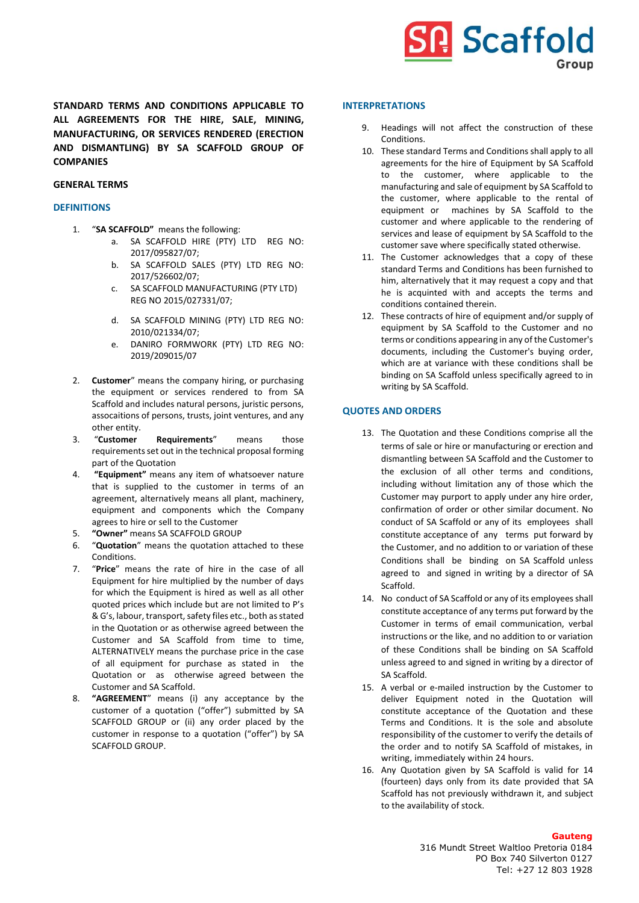

**STANDARD TERMS AND CONDITIONS APPLICABLE TO ALL AGREEMENTS FOR THE HIRE, SALE, MINING, MANUFACTURING, OR SERVICES RENDERED (ERECTION AND DISMANTLING) BY SA SCAFFOLD GROUP OF COMPANIES**

### **GENERAL TERMS**

#### **DEFINITIONS**

- 1. "**SA SCAFFOLD"** means the following:
	- a. SA SCAFFOLD HIRE (PTY) LTD REG NO: 2017/095827/07;
	- b. SA SCAFFOLD SALES (PTY) LTD REG NO: 2017/526602/07;
	- c. SA SCAFFOLD MANUFACTURING (PTY LTD) REG NO 2015/027331/07;
	- d. SA SCAFFOLD MINING (PTY) LTD REG NO: 2010/021334/07;
	- e. DANIRO FORMWORK (PTY) LTD REG NO: 2019/209015/07
- 2. **Customer**" means the company hiring, or purchasing the equipment or services rendered to from SA Scaffold and includes natural persons, juristic persons, assocaitions of persons, trusts, joint ventures, and any other entity.
- 3. "**Customer Requirements**" means those requirements set out in the technical proposal forming part of the Quotation
- 4. **"Equipment"** means any item of whatsoever nature that is supplied to the customer in terms of an agreement, alternatively means all plant, machinery, equipment and components which the Company agrees to hire or sell to the Customer
- 5. **"Owner"** means SA SCAFFOLD GROUP
- 6. "**Quotation**" means the quotation attached to these Conditions.
- 7. "**Price**" means the rate of hire in the case of all Equipment for hire multiplied by the number of days for which the Equipment is hired as well as all other quoted prices which include but are not limited to P's & G's, labour, transport, safety files etc., both as stated in the Quotation or as otherwise agreed between the Customer and SA Scaffold from time to time, ALTERNATIVELY means the purchase price in the case of all equipment for purchase as stated in the Quotation or as otherwise agreed between the Customer and SA Scaffold.
- 8. **"AGREEMENT**" means (i) any acceptance by the customer of a quotation ("offer") submitted by SA SCAFFOLD GROUP or (ii) any order placed by the customer in response to a quotation ("offer") by SA SCAFFOLD GROUP.

#### **INTERPRETATIONS**

- 9. Headings will not affect the construction of these Conditions.
- 10. These standard Terms and Conditions shall apply to all agreements for the hire of Equipment by SA Scaffold to the customer, where applicable to the manufacturing and sale of equipment by SA Scaffold to the customer, where applicable to the rental of equipment or machines by SA Scaffold to the customer and where applicable to the rendering of services and lease of equipment by SA Scaffold to the customer save where specifically stated otherwise.
- 11. The Customer acknowledges that a copy of these standard Terms and Conditions has been furnished to him, alternatively that it may request a copy and that he is acquinted with and accepts the terms and conditions contained therein.
- 12. These contracts of hire of equipment and/or supply of equipment by SA Scaffold to the Customer and no terms or conditions appearing in any of the Customer's documents, including the Customer's buying order, which are at variance with these conditions shall be binding on SA Scaffold unless specifically agreed to in writing by SA Scaffold.

#### **QUOTES AND ORDERS**

- 13. The Quotation and these Conditions comprise all the terms of sale or hire or manufacturing or erection and dismantling between SA Scaffold and the Customer to the exclusion of all other terms and conditions, including without limitation any of those which the Customer may purport to apply under any hire order, confirmation of order or other similar document. No conduct of SA Scaffold or any of its employees shall constitute acceptance of any terms put forward by the Customer, and no addition to or variation of these Conditions shall be binding on SA Scaffold unless agreed to and signed in writing by a director of SA Scaffold.
- 14. No conduct of SA Scaffold or any of its employees shall constitute acceptance of any terms put forward by the Customer in terms of email communication, verbal instructions or the like, and no addition to or variation of these Conditions shall be binding on SA Scaffold unless agreed to and signed in writing by a director of SA Scaffold.
- 15. A verbal or e-mailed instruction by the Customer to deliver Equipment noted in the Quotation will constitute acceptance of the Quotation and these Terms and Conditions. It is the sole and absolute responsibility of the customer to verify the details of the order and to notify SA Scaffold of mistakes, in writing, immediately within 24 hours.
- 16. Any Quotation given by SA Scaffold is valid for 14 (fourteen) days only from its date provided that SA Scaffold has not previously withdrawn it, and subject to the availability of stock.

#### **Gauteng**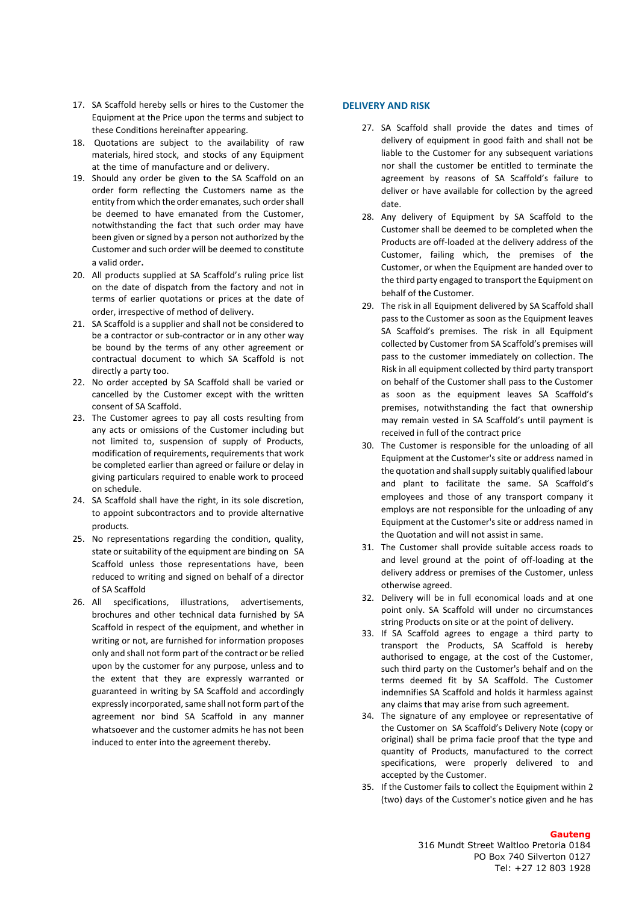- 17. SA Scaffold hereby sells or hires to the Customer the Equipment at the Price upon the terms and subject to these Conditions hereinafter appearing.
- 18. Quotations are subject to the availability of raw materials, hired stock, and stocks of any Equipment at the time of manufacture and or delivery.
- 19. Should any order be given to the SA Scaffold on an order form reflecting the Customers name as the entity from which the order emanates, such order shall be deemed to have emanated from the Customer, notwithstanding the fact that such order may have been given or signed by a person not authorized by the Customer and such order will be deemed to constitute a valid order.
- 20. All products supplied at SA Scaffold's ruling price list on the date of dispatch from the factory and not in terms of earlier quotations or prices at the date of order, irrespective of method of delivery.
- 21. SA Scaffold is a supplier and shall not be considered to be a contractor or sub-contractor or in any other way be bound by the terms of any other agreement or contractual document to which SA Scaffold is not directly a party too.
- 22. No order accepted by SA Scaffold shall be varied or cancelled by the Customer except with the written consent of SA Scaffold.
- 23. The Customer agrees to pay all costs resulting from any acts or omissions of the Customer including but not limited to, suspension of supply of Products, modification of requirements, requirements that work be completed earlier than agreed or failure or delay in giving particulars required to enable work to proceed on schedule.
- 24. SA Scaffold shall have the right, in its sole discretion, to appoint subcontractors and to provide alternative products.
- 25. No representations regarding the condition, quality, state or suitability of the equipment are binding on SA Scaffold unless those representations have, been reduced to writing and signed on behalf of a director of SA Scaffold
- 26. All specifications, illustrations, advertisements, brochures and other technical data furnished by SA Scaffold in respect of the equipment, and whether in writing or not, are furnished for information proposes only and shall not form part of the contract or be relied upon by the customer for any purpose, unless and to the extent that they are expressly warranted or guaranteed in writing by SA Scaffold and accordingly expressly incorporated, same shall not form part of the agreement nor bind SA Scaffold in any manner whatsoever and the customer admits he has not been induced to enter into the agreement thereby.

#### **DELIVERY AND RISK**

- 27. SA Scaffold shall provide the dates and times of delivery of equipment in good faith and shall not be liable to the Customer for any subsequent variations nor shall the customer be entitled to terminate the agreement by reasons of SA Scaffold's failure to deliver or have available for collection by the agreed date.
- 28. Any delivery of Equipment by SA Scaffold to the Customer shall be deemed to be completed when the Products are off-loaded at the delivery address of the Customer, failing which, the premises of the Customer, or when the Equipment are handed over to the third party engaged to transport the Equipment on behalf of the Customer.
- 29. The risk in all Equipment delivered by SA Scaffold shall pass to the Customer as soon as the Equipment leaves SA Scaffold's premises. The risk in all Equipment collected by Customer from SA Scaffold's premises will pass to the customer immediately on collection. The Risk in all equipment collected by third party transport on behalf of the Customer shall pass to the Customer as soon as the equipment leaves SA Scaffold's premises, notwithstanding the fact that ownership may remain vested in SA Scaffold's until payment is received in full of the contract price
- 30. The Customer is responsible for the unloading of all Equipment at the Customer's site or address named in the quotation and shall supply suitably qualified labour and plant to facilitate the same. SA Scaffold's employees and those of any transport company it employs are not responsible for the unloading of any Equipment at the Customer's site or address named in the Quotation and will not assist in same.
- 31. The Customer shall provide suitable access roads to and level ground at the point of off-loading at the delivery address or premises of the Customer, unless otherwise agreed.
- 32. Delivery will be in full economical loads and at one point only. SA Scaffold will under no circumstances string Products on site or at the point of delivery.
- 33. If SA Scaffold agrees to engage a third party to transport the Products, SA Scaffold is hereby authorised to engage, at the cost of the Customer, such third party on the Customer's behalf and on the terms deemed fit by SA Scaffold. The Customer indemnifies SA Scaffold and holds it harmless against any claims that may arise from such agreement.
- 34. The signature of any employee or representative of the Customer on SA Scaffold's Delivery Note (copy or original) shall be prima facie proof that the type and quantity of Products, manufactured to the correct specifications, were properly delivered to and accepted by the Customer.
- 35. If the Customer fails to collect the Equipment within 2 (two) days of the Customer's notice given and he has

#### **Gauteng**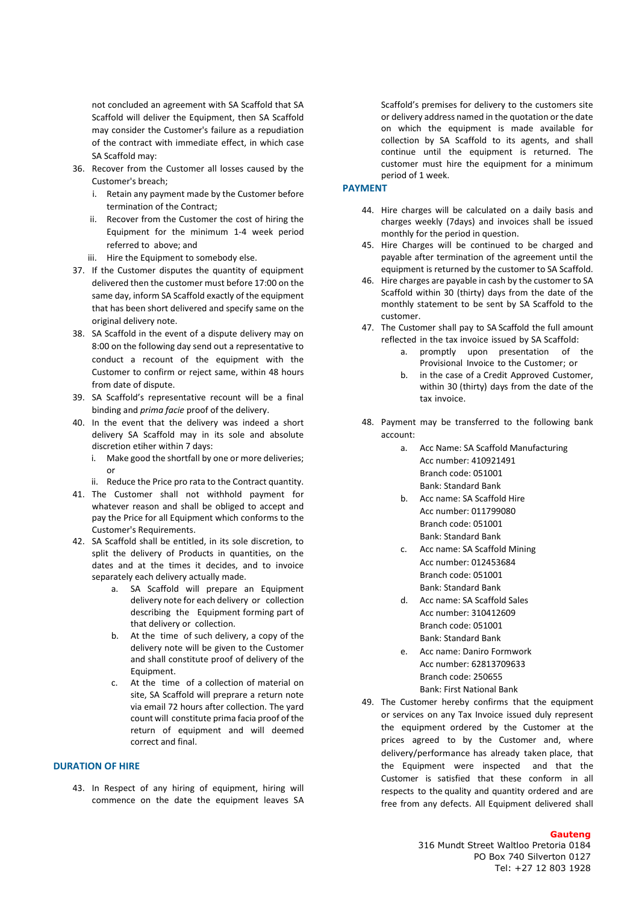not concluded an agreement with SA Scaffold that SA Scaffold will deliver the Equipment, then SA Scaffold may consider the Customer's failure as a repudiation of the contract with immediate effect, in which case SA Scaffold may:

- 36. Recover from the Customer all losses caused by the Customer's breach;
	- i. Retain any payment made by the Customer before termination of the Contract;
	- ii. Recover from the Customer the cost of hiring the Equipment for the minimum 1-4 week period referred to above; and
	- iii. Hire the Equipment to somebody else.
- 37. If the Customer disputes the quantity of equipment delivered then the customer must before 17:00 on the same day, inform SA Scaffold exactly of the equipment that has been short delivered and specify same on the original delivery note.
- 38. SA Scaffold in the event of a dispute delivery may on 8:00 on the following day send out a representative to conduct a recount of the equipment with the Customer to confirm or reject same, within 48 hours from date of dispute.
- 39. SA Scaffold's representative recount will be a final binding and *prima facie* proof of the delivery.
- 40. In the event that the delivery was indeed a short delivery SA Scaffold may in its sole and absolute discretion etiher within 7 days:
	- i. Make good the shortfall by one or more deliveries; or
	- ii. Reduce the Price pro rata to the Contract quantity.
- 41. The Customer shall not withhold payment for whatever reason and shall be obliged to accept and pay the Price for all Equipment which conforms to the Customer's Requirements.
- 42. SA Scaffold shall be entitled, in its sole discretion, to split the delivery of Products in quantities, on the dates and at the times it decides, and to invoice separately each delivery actually made.
	- a. SA Scaffold will prepare an Equipment delivery note for each delivery or collection describing the Equipment forming part of that delivery or collection.
	- b. At the time of such delivery, a copy of the delivery note will be given to the Customer and shall constitute proof of delivery of the Equipment.
	- c. At the time of a collection of material on site, SA Scaffold will preprare a return note via email 72 hours after collection. The yard count will constitute prima facia proof of the return of equipment and will deemed correct and final.

#### **DURATION OF HIRE**

43. In Respect of any hiring of equipment, hiring will commence on the date the equipment leaves SA

Scaffold's premises for delivery to the customers site or delivery address named in the quotation or the date on which the equipment is made available for collection by SA Scaffold to its agents, and shall continue until the equipment is returned. The customer must hire the equipment for a minimum period of 1 week.

## **PAYMENT**

- 44. Hire charges will be calculated on a daily basis and charges weekly (7days) and invoices shall be issued monthly for the period in question.
- 45. Hire Charges will be continued to be charged and payable after termination of the agreement until the equipment is returned by the customer to SA Scaffold.
- 46. Hire charges are payable in cash by the customer to SA Scaffold within 30 (thirty) days from the date of the monthly statement to be sent by SA Scaffold to the customer.
- 47. The Customer shall pay to SA Scaffold the full amount reflected in the tax invoice issued by SA Scaffold:
	- a. promptly upon presentation of the Provisional Invoice to the Customer; or
	- b. in the case of a Credit Approved Customer, within 30 (thirty) days from the date of the tax invoice.
- 48. Payment may be transferred to the following bank account:
	- a. Acc Name: SA Scaffold Manufacturing Acc number: 410921491 Branch code: 051001 Bank: Standard Bank
	- b. Acc name: SA Scaffold Hire Acc number: 011799080 Branch code: 051001 Bank: Standard Bank
	- c. Acc name: SA Scaffold Mining Acc number: 012453684 Branch code: 051001 Bank: Standard Bank
	- d. Acc name: SA Scaffold Sales Acc number: 310412609 Branch code: 051001 Bank: Standard Bank
	- e. Acc name: Daniro Formwork Acc number: 62813709633 Branch code: 250655 Bank: First National Bank
- 49. The Customer hereby confirms that the equipment or services on any Tax Invoice issued duly represent the equipment ordered by the Customer at the prices agreed to by the Customer and, where delivery/performance has already taken place, that the Equipment were inspected and that the Customer is satisfied that these conform in all respects to the quality and quantity ordered and are free from any defects. All Equipment delivered shall

#### **Gauteng**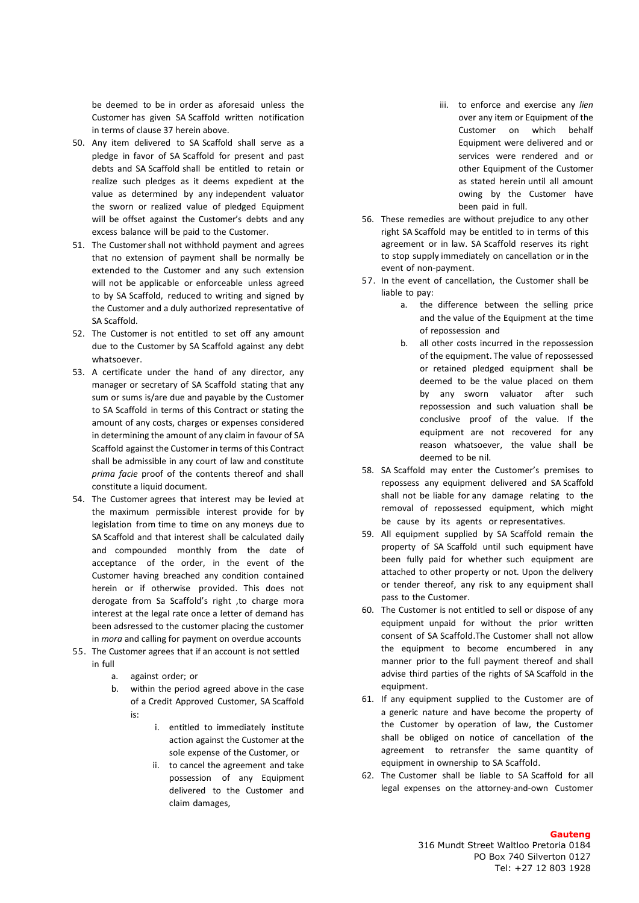be deemed to be in order as aforesaid unless the Customer has given SA Scaffold written notification in terms of clause 37 herein above.

- 50. Any item delivered to SA Scaffold shall serve as a pledge in favor of SA Scaffold for present and past debts and SA Scaffold shall be entitled to retain or realize such pledges as it deems expedient at the value as determined by any independent valuator the sworn or realized value of pledged Equipment will be offset against the Customer's debts and any excess balance will be paid to the Customer.
- 51. The Customershall not withhold payment and agrees that no extension of payment shall be normally be extended to the Customer and any such extension will not be applicable or enforceable unless agreed to by SA Scaffold, reduced to writing and signed by the Customer and a duly authorized representative of SA Scaffold.
- 52. The Customer is not entitled to set off any amount due to the Customer by SA Scaffold against any debt whatsoever.
- 53. A certificate under the hand of any director, any manager or secretary of SA Scaffold stating that any sum or sums is/are due and payable by the Customer to SA Scaffold in terms of this Contract or stating the amount of any costs, charges or expenses considered in determining the amount of any claim in favour of SA Scaffold against the Customer in terms of this Contract shall be admissible in any court of law and constitute *prima facie* proof of the contents thereof and shall constitute a liquid document.
- 54. The Customer agrees that interest may be levied at the maximum permissible interest provide for by legislation from time to time on any moneys due to SA Scaffold and that interest shall be calculated daily and compounded monthly from the date of acceptance of the order, in the event of the Customer having breached any condition contained herein or if otherwise provided. This does not derogate from Sa Scaffold's right ,to charge mora interest at the legal rate once a letter of demand has been adsressed to the customer placing the customer in *mora* and calling for payment on overdue accounts
- 55. The Customer agrees that if an account is not settled in full
	- a. against order; or
	- b. within the period agreed above in the case of a Credit Approved Customer, SA Scaffold is:
		- i. entitled to immediately institute action against the Customer at the sole expense of the Customer, or
		- ii. to cancel the agreement and take possession of any Equipment delivered to the Customer and claim damages,
- iii. to enforce and exercise any *lien* over any item or Equipment of the Customer on which behalf Equipment were delivered and or services were rendered and or other Equipment of the Customer as stated herein until all amount owing by the Customer have been paid in full.
- 56. These remedies are without prejudice to any other right SA Scaffold may be entitled to in terms of this agreement or in law. SA Scaffold reserves its right to stop supply immediately on cancellation or in the event of non-payment.
- 57. In the event of cancellation, the Customer shall be liable to pay:
	- a. the difference between the selling price and the value of the Equipment at the time of repossession and
	- b. all other costs incurred in the repossession of the equipment. The value of repossessed or retained pledged equipment shall be deemed to be the value placed on them by any sworn valuator after such repossession and such valuation shall be conclusive proof of the value. If the equipment are not recovered for any reason whatsoever, the value shall be deemed to be nil.
- 58. SA Scaffold may enter the Customer's premises to repossess any equipment delivered and SA Scaffold shall not be liable for any damage relating to the removal of repossessed equipment, which might be cause by its agents or representatives.
- 59. All equipment supplied by SA Scaffold remain the property of SA Scaffold until such equipment have been fully paid for whether such equipment are attached to other property or not. Upon the delivery or tender thereof, any risk to any equipment shall pass to the Customer.
- 60. The Customer is not entitled to sell or dispose of any equipment unpaid for without the prior written consent of SA Scaffold.The Customer shall not allow the equipment to become encumbered in any manner prior to the full payment thereof and shall advise third parties of the rights of SA Scaffold in the equipment.
- 61. If any equipment supplied to the Customer are of a generic nature and have become the property of the Customer by operation of law, the Customer shall be obliged on notice of cancellation of the agreement to retransfer the same quantity of equipment in ownership to SA Scaffold.
- 62. The Customer shall be liable to SA Scaffold for all legal expenses on the attorney-and-own Customer

#### **Gauteng**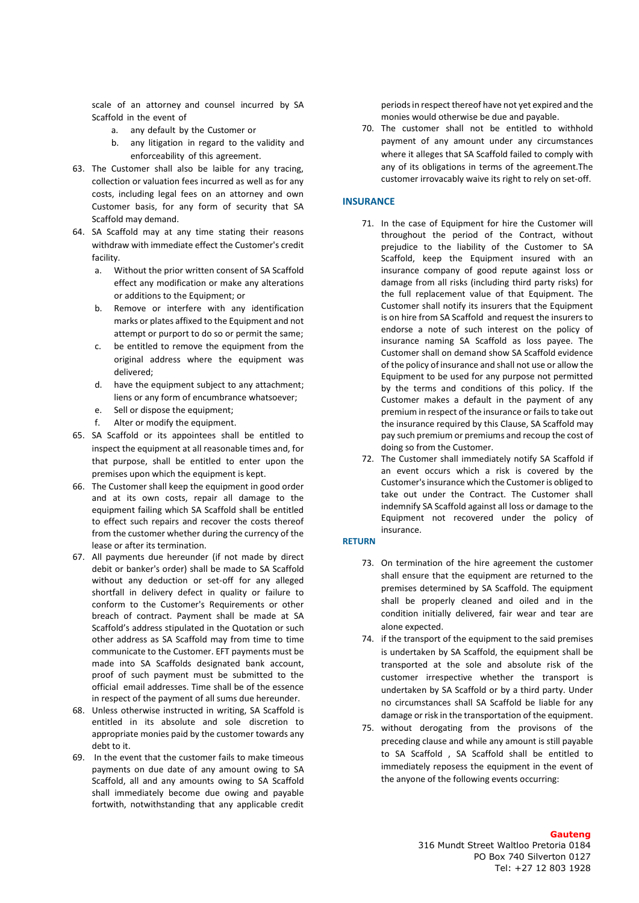scale of an attorney and counsel incurred by SA Scaffold in the event of

- a. any default by the Customer or
- b. any litigation in regard to the validity and enforceability of this agreement.
- 63. The Customer shall also be laible for any tracing, collection or valuation fees incurred as well as for any costs, including legal fees on an attorney and own Customer basis, for any form of security that SA Scaffold may demand.
- 64. SA Scaffold may at any time stating their reasons withdraw with immediate effect the Customer's credit facility.
	- a. Without the prior written consent of SA Scaffold effect any modification or make any alterations or additions to the Equipment; or
	- b. Remove or interfere with any identification marks or plates affixed to the Equipment and not attempt or purport to do so or permit the same;
	- c. be entitled to remove the equipment from the original address where the equipment was delivered;
	- d. have the equipment subject to any attachment; liens or any form of encumbrance whatsoever;
	- e. Sell or dispose the equipment;
	- f. Alter or modify the equipment.
- 65. SA Scaffold or its appointees shall be entitled to inspect the equipment at all reasonable times and, for that purpose, shall be entitled to enter upon the premises upon which the equipment is kept.
- 66. The Customer shall keep the equipment in good order and at its own costs, repair all damage to the equipment failing which SA Scaffold shall be entitled to effect such repairs and recover the costs thereof from the customer whether during the currency of the lease or after its termination.
- 67. All payments due hereunder (if not made by direct debit or banker's order) shall be made to SA Scaffold without any deduction or set-off for any alleged shortfall in delivery defect in quality or failure to conform to the Customer's Requirements or other breach of contract. Payment shall be made at SA Scaffold's address stipulated in the Quotation or such other address as SA Scaffold may from time to time communicate to the Customer. EFT payments must be made into SA Scaffolds designated bank account, proof of such payment must be submitted to the official email addresses. Time shall be of the essence in respect of the payment of all sums due hereunder.
- 68. Unless otherwise instructed in writing, SA Scaffold is entitled in its absolute and sole discretion to appropriate monies paid by the customer towards any debt to it.
- 69. In the event that the customer fails to make timeous payments on due date of any amount owing to SA Scaffold, all and any amounts owing to SA Scaffold shall immediately become due owing and payable fortwith, notwithstanding that any applicable credit

periods in respect thereof have not yet expired and the monies would otherwise be due and payable.

70. The customer shall not be entitled to withhold payment of any amount under any circumstances where it alleges that SA Scaffold failed to comply with any of its obligations in terms of the agreement.The customer irrovacably waive its right to rely on set-off.

#### **INSURANCE**

- 71. In the case of Equipment for hire the Customer will throughout the period of the Contract, without prejudice to the liability of the Customer to SA Scaffold, keep the Equipment insured with an insurance company of good repute against loss or damage from all risks (including third party risks) for the full replacement value of that Equipment. The Customer shall notify its insurers that the Equipment is on hire from SA Scaffold and request the insurers to endorse a note of such interest on the policy of insurance naming SA Scaffold as loss payee. The Customer shall on demand show SA Scaffold evidence of the policy of insurance and shall not use or allow the Equipment to be used for any purpose not permitted by the terms and conditions of this policy. If the Customer makes a default in the payment of any premium in respect of the insurance or fails to take out the insurance required by this Clause, SA Scaffold may pay such premium or premiums and recoup the cost of doing so from the Customer.
- 72. The Customer shall immediately notify SA Scaffold if an event occurs which a risk is covered by the Customer's insurance which the Customer is obliged to take out under the Contract. The Customer shall indemnify SA Scaffold against all loss or damage to the Equipment not recovered under the policy of insurance.

#### **RETURN**

- 73. On termination of the hire agreement the customer shall ensure that the equipment are returned to the premises determined by SA Scaffold. The equipment shall be properly cleaned and oiled and in the condition initially delivered, fair wear and tear are alone expected.
- 74. if the transport of the equipment to the said premises is undertaken by SA Scaffold, the equipment shall be transported at the sole and absolute risk of the customer irrespective whether the transport is undertaken by SA Scaffold or by a third party. Under no circumstances shall SA Scaffold be liable for any damage or risk in the transportation of the equipment.
- 75. without derogating from the provisons of the preceding clause and while any amount is still payable to SA Scaffold , SA Scaffold shall be entitled to immediately reposess the equipment in the event of the anyone of the following events occurring: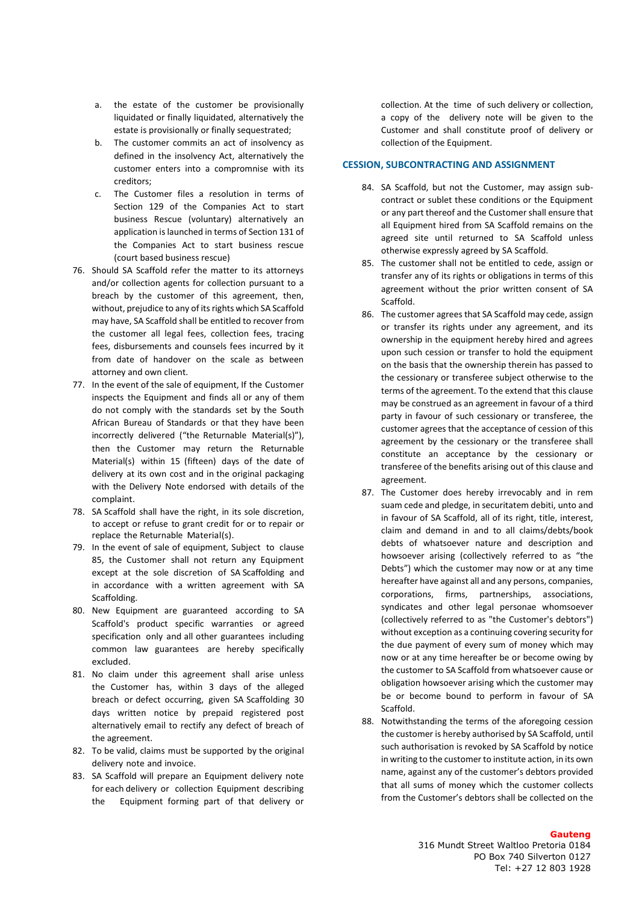- a. the estate of the customer be provisionally liquidated or finally liquidated, alternatively the estate is provisionally or finally sequestrated;
- b. The customer commits an act of insolvency as defined in the insolvency Act, alternatively the customer enters into a compromnise with its creditors;
- c. The Customer files a resolution in terms of Section 129 of the Companies Act to start business Rescue (voluntary) alternatively an application is launched in terms of Section 131 of the Companies Act to start business rescue (court based business rescue)
- 76. Should SA Scaffold refer the matter to its attorneys and/or collection agents for collection pursuant to a breach by the customer of this agreement, then, without, prejudice to any of its rights which SA Scaffold may have, SA Scaffold shall be entitled to recover from the customer all legal fees, collection fees, tracing fees, disbursements and counsels fees incurred by it from date of handover on the scale as between attorney and own client.
- 77. In the event of the sale of equipment. If the Customer inspects the Equipment and finds all or any of them do not comply with the standards set by the South African Bureau of Standards or that they have been incorrectly delivered ("the Returnable Material(s)"), then the Customer may return the Returnable Material(s) within 15 (fifteen) days of the date of delivery at its own cost and in the original packaging with the Delivery Note endorsed with details of the complaint.
- 78. SA Scaffold shall have the right, in its sole discretion, to accept or refuse to grant credit for or to repair or replace the Returnable Material(s).
- 79. In the event of sale of equipment, Subject to clause 85, the Customer shall not return any Equipment except at the sole discretion of SA Scaffolding and in accordance with a written agreement with SA Scaffolding.
- 80. New Equipment are guaranteed according to SA Scaffold's product specific warranties or agreed specification only and all other guarantees including common law guarantees are hereby specifically excluded.
- 81. No claim under this agreement shall arise unless the Customer has, within 3 days of the alleged breach or defect occurring, given SA Scaffolding 30 days written notice by prepaid registered post alternatively email to rectify any defect of breach of the agreement.
- 82. To be valid, claims must be supported by the original delivery note and invoice.
- 83. SA Scaffold will prepare an Equipment delivery note for each delivery or collection Equipment describing the Equipment forming part of that delivery or

collection. At the time of such delivery or collection, a copy of the delivery note will be given to the Customer and shall constitute proof of delivery or collection of the Equipment.

### **CESSION, SUBCONTRACTING AND ASSIGNMENT**

- 84. SA Scaffold, but not the Customer, may assign subcontract or sublet these conditions or the Equipment or any part thereof and the Customer shall ensure that all Equipment hired from SA Scaffold remains on the agreed site until returned to SA Scaffold unless otherwise expressly agreed by SA Scaffold.
- 85. The customer shall not be entitled to cede, assign or transfer any of its rights or obligations in terms of this agreement without the prior written consent of SA Scaffold.
- 86. The customer agrees that SA Scaffold may cede, assign or transfer its rights under any agreement, and its ownership in the equipment hereby hired and agrees upon such cession or transfer to hold the equipment on the basis that the ownership therein has passed to the cessionary or transferee subject otherwise to the terms of the agreement. To the extend that this clause may be construed as an agreement in favour of a third party in favour of such cessionary or transferee, the customer agrees that the acceptance of cession of this agreement by the cessionary or the transferee shall constitute an acceptance by the cessionary or transferee of the benefits arising out of this clause and agreement.
- 87. The Customer does hereby irrevocably and in rem suam cede and pledge, in securitatem debiti, unto and in favour of SA Scaffold, all of its right, title, interest, claim and demand in and to all claims/debts/book debts of whatsoever nature and description and howsoever arising (collectively referred to as "the Debts") which the customer may now or at any time hereafter have against all and any persons, companies, corporations, firms, partnerships, associations, syndicates and other legal personae whomsoever (collectively referred to as "the Customer's debtors") without exception as a continuing covering security for the due payment of every sum of money which may now or at any time hereafter be or become owing by the customer to SA Scaffold from whatsoever cause or obligation howsoever arising which the customer may be or become bound to perform in favour of SA Scaffold.
- 88. Notwithstanding the terms of the aforegoing cession the customer is hereby authorised by SA Scaffold, until such authorisation is revoked by SA Scaffold by notice in writing to the customer to institute action, in its own name, against any of the customer's debtors provided that all sums of money which the customer collects from the Customer's debtors shall be collected on the

#### **Gauteng**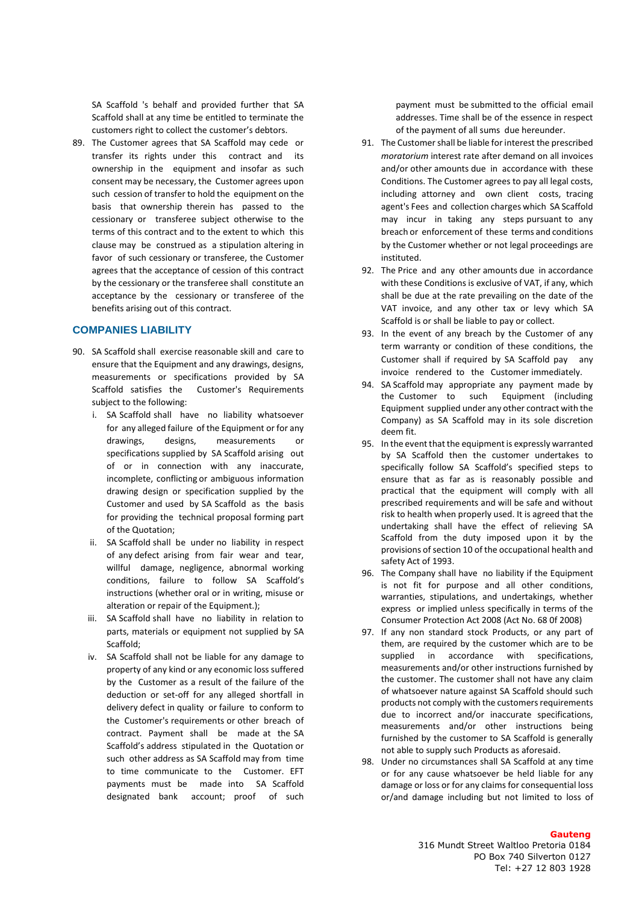SA Scaffold 's behalf and provided further that SA Scaffold shall at any time be entitled to terminate the customers right to collect the customer's debtors.

89. The Customer agrees that SA Scaffold may cede or transfer its rights under this contract and its ownership in the equipment and insofar as such consent may be necessary, the Customer agrees upon such cession of transfer to hold the equipment on the basis that ownership therein has passed to the cessionary or transferee subject otherwise to the terms of this contract and to the extent to which this clause may be construed as a stipulation altering in favor of such cessionary or transferee, the Customer agrees that the acceptance of cession of this contract by the cessionary or the transferee shall constitute an acceptance by the cessionary or transferee of the benefits arising out of this contract.

## **COMPANIES LIABILITY**

- 90. SA Scaffold shall exercise reasonable skill and care to ensure that the Equipment and any drawings, designs, measurements or specifications provided by SA Scaffold satisfies the Customer's Requirements subject to the following:
	- i. SA Scaffold shall have no liability whatsoever for any alleged failure of the Equipment or for any drawings, designs, measurements or specifications supplied by SA Scaffold arising out of or in connection with any inaccurate, incomplete, conflicting or ambiguous information drawing design or specification supplied by the Customer and used by SA Scaffold as the basis for providing the technical proposal forming part of the Quotation;
	- ii. SA Scaffold shall be under no liability in respect of any defect arising from fair wear and tear, willful damage, negligence, abnormal working conditions, failure to follow SA Scaffold's instructions (whether oral or in writing, misuse or alteration or repair of the Equipment.);
	- iii. SA Scaffold shall have no liability in relation to parts, materials or equipment not supplied by SA Scaffold;
	- iv. SA Scaffold shall not be liable for any damage to property of any kind or any economic loss suffered by the Customer as a result of the failure of the deduction or set-off for any alleged shortfall in delivery defect in quality or failure to conform to the Customer's requirements or other breach of contract. Payment shall be made at the SA Scaffold's address stipulated in the Quotation or such other address as SA Scaffold may from time to time communicate to the Customer. EFT payments must be made into SA Scaffold designated bank account; proof of such

payment must be submitted to the official email addresses. Time shall be of the essence in respect of the payment of all sums due hereunder.

- 91. The Customer shall be liable for interest the prescribed *moratorium* interest rate after demand on all invoices and/or other amounts due in accordance with these Conditions. The Customer agrees to pay all legal costs, including attorney and own client costs, tracing agent's Fees and collection charges which SA Scaffold may incur in taking any steps pursuant to any breach or enforcement of these terms and conditions by the Customer whether or not legal proceedings are instituted.
- 92. The Price and any other amounts due in accordance with these Conditions is exclusive of VAT, if any, which shall be due at the rate prevailing on the date of the VAT invoice, and any other tax or levy which SA Scaffold is or shall be liable to pay or collect.
- 93. In the event of any breach by the Customer of any term warranty or condition of these conditions, the Customer shall if required by SA Scaffold pay any invoice rendered to the Customer immediately.
- 94. SA Scaffold may appropriate any payment made by the Customer to such Equipment (including Equipment supplied under any other contract with the Company) as SA Scaffold may in its sole discretion deem fit.
- 95. In the event that the equipment is expressly warranted by SA Scaffold then the customer undertakes to specifically follow SA Scaffold's specified steps to ensure that as far as is reasonably possible and practical that the equipment will comply with all prescribed requirements and will be safe and without risk to health when properly used. It is agreed that the undertaking shall have the effect of relieving SA Scaffold from the duty imposed upon it by the provisions of section 10 of the occupational health and safety Act of 1993.
- 96. The Company shall have no liability if the Equipment is not fit for purpose and all other conditions, warranties, stipulations, and undertakings, whether express or implied unless specifically in terms of the Consumer Protection Act 2008 (Act No. 68 0f 2008)
- 97. If any non standard stock Products, or any part of them, are required by the customer which are to be supplied in accordance with specifications, measurements and/or other instructions furnished by the customer. The customer shall not have any claim of whatsoever nature against SA Scaffold should such products not comply with the customers requirements due to incorrect and/or inaccurate specifications, measurements and/or other instructions being furnished by the customer to SA Scaffold is generally not able to supply such Products as aforesaid.
- 98. Under no circumstances shall SA Scaffold at any time or for any cause whatsoever be held liable for any damage or loss or for any claims for consequential loss or/and damage including but not limited to loss of

#### **Gauteng**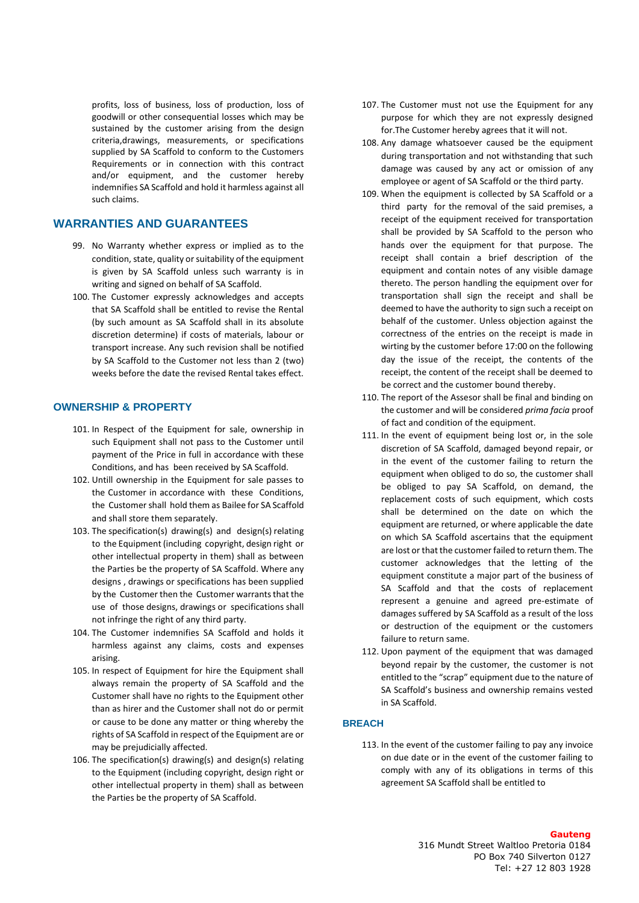profits, loss of business, loss of production, loss of goodwill or other consequential losses which may be sustained by the customer arising from the design criteria,drawings, measurements, or specifications supplied by SA Scaffold to conform to the Customers Requirements or in connection with this contract and/or equipment, and the customer hereby indemnifies SA Scaffold and hold it harmless against all such claims.

## **WARRANTIES AND GUARANTEES**

- 99. No Warranty whether express or implied as to the condition, state, quality or suitability of the equipment is given by SA Scaffold unless such warranty is in writing and signed on behalf of SA Scaffold.
- 100. The Customer expressly acknowledges and accepts that SA Scaffold shall be entitled to revise the Rental (by such amount as SA Scaffold shall in its absolute discretion determine) if costs of materials, labour or transport increase. Any such revision shall be notified by SA Scaffold to the Customer not less than 2 (two) weeks before the date the revised Rental takes effect.

## **OWNERSHIP & PROPERTY**

- 101. In Respect of the Equipment for sale, ownership in such Equipment shall not pass to the Customer until payment of the Price in full in accordance with these Conditions, and has been received by SA Scaffold.
- 102. Untill ownership in the Equipment for sale passes to the Customer in accordance with these Conditions, the Customer shall hold them as Bailee for SA Scaffold and shall store them separately.
- 103. The specification(s) drawing(s) and design(s) relating to the Equipment (including copyright, design right or other intellectual property in them) shall as between the Parties be the property of SA Scaffold. Where any designs , drawings or specifications has been supplied by the Customer then the Customer warrants that the use of those designs, drawings or specifications shall not infringe the right of any third party.
- 104. The Customer indemnifies SA Scaffold and holds it harmless against any claims, costs and expenses arising.
- 105. In respect of Equipment for hire the Equipment shall always remain the property of SA Scaffold and the Customer shall have no rights to the Equipment other than as hirer and the Customer shall not do or permit or cause to be done any matter or thing whereby the rights of SA Scaffold in respect of the Equipment are or may be prejudicially affected.
- 106. The specification(s) drawing(s) and design(s) relating to the Equipment (including copyright, design right or other intellectual property in them) shall as between the Parties be the property of SA Scaffold.
- 107. The Customer must not use the Equipment for any purpose for which they are not expressly designed for.The Customer hereby agrees that it will not.
- 108. Any damage whatsoever caused be the equipment during transportation and not withstanding that such damage was caused by any act or omission of any employee or agent of SA Scaffold or the third party.
- 109. When the equipment is collected by SA Scaffold or a third party for the removal of the said premises, a receipt of the equipment received for transportation shall be provided by SA Scaffold to the person who hands over the equipment for that purpose. The receipt shall contain a brief description of the equipment and contain notes of any visible damage thereto. The person handling the equipment over for transportation shall sign the receipt and shall be deemed to have the authority to sign such a receipt on behalf of the customer. Unless objection against the correctness of the entries on the receipt is made in wirting by the customer before 17:00 on the following day the issue of the receipt, the contents of the receipt, the content of the receipt shall be deemed to be correct and the customer bound thereby.
- 110. The report of the Assesor shall be final and binding on the customer and will be considered *prima facia* proof of fact and condition of the equipment.
- 111. In the event of equipment being lost or, in the sole discretion of SA Scaffold, damaged beyond repair, or in the event of the customer failing to return the equipment when obliged to do so, the customer shall be obliged to pay SA Scaffold, on demand, the replacement costs of such equipment, which costs shall be determined on the date on which the equipment are returned, or where applicable the date on which SA Scaffold ascertains that the equipment are lost or that the customer failed to return them. The customer acknowledges that the letting of the equipment constitute a major part of the business of SA Scaffold and that the costs of replacement represent a genuine and agreed pre-estimate of damages suffered by SA Scaffold as a result of the loss or destruction of the equipment or the customers failure to return same.
- 112. Upon payment of the equipment that was damaged beyond repair by the customer, the customer is not entitled to the "scrap" equipment due to the nature of SA Scaffold's business and ownership remains vested in SA Scaffold.

### **BREACH**

113. In the event of the customer failing to pay any invoice on due date or in the event of the customer failing to comply with any of its obligations in terms of this agreement SA Scaffold shall be entitled to

#### **Gauteng**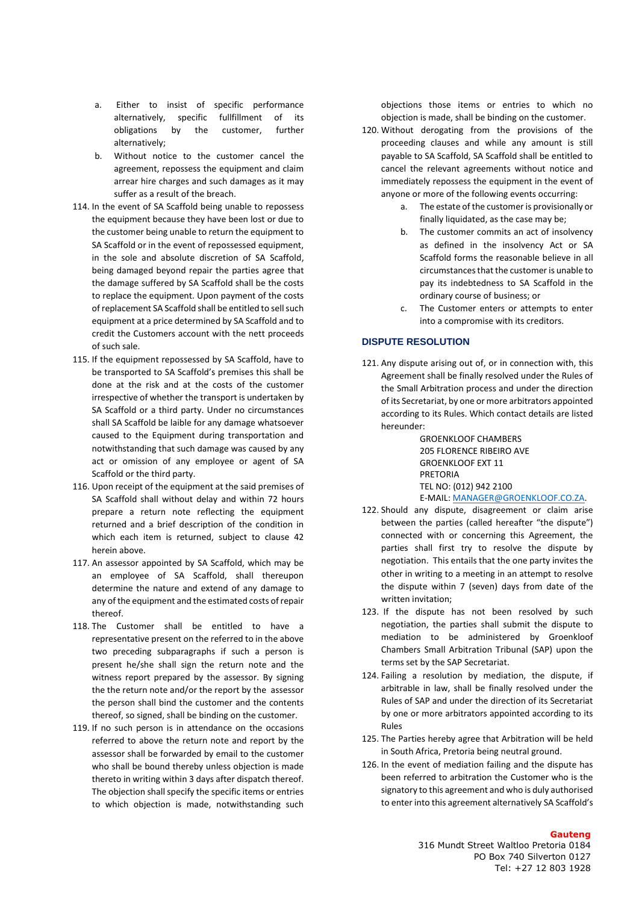- a. Either to insist of specific performance alternatively, specific fullfillment of its obligations by the customer, further alternatively;
- b. Without notice to the customer cancel the agreement, repossess the equipment and claim arrear hire charges and such damages as it may suffer as a result of the breach.
- 114. In the event of SA Scaffold being unable to repossess the equipment because they have been lost or due to the customer being unable to return the equipment to SA Scaffold or in the event of repossessed equipment, in the sole and absolute discretion of SA Scaffold, being damaged beyond repair the parties agree that the damage suffered by SA Scaffold shall be the costs to replace the equipment. Upon payment of the costs of replacement SA Scaffold shall be entitled to sell such equipment at a price determined by SA Scaffold and to credit the Customers account with the nett proceeds of such sale.
- 115. If the equipment repossessed by SA Scaffold, have to be transported to SA Scaffold's premises this shall be done at the risk and at the costs of the customer irrespective of whether the transport is undertaken by SA Scaffold or a third party. Under no circumstances shall SA Scaffold be laible for any damage whatsoever caused to the Equipment during transportation and notwithstanding that such damage was caused by any act or omission of any employee or agent of SA Scaffold or the third party.
- 116. Upon receipt of the equipment at the said premises of SA Scaffold shall without delay and within 72 hours prepare a return note reflecting the equipment returned and a brief description of the condition in which each item is returned, subject to clause 42 herein above.
- 117. An assessor appointed by SA Scaffold, which may be an employee of SA Scaffold, shall thereupon determine the nature and extend of any damage to any of the equipment and the estimated costs of repair thereof.
- 118. The Customer shall be entitled to have a representative present on the referred to in the above two preceding subparagraphs if such a person is present he/she shall sign the return note and the witness report prepared by the assessor. By signing the the return note and/or the report by the assessor the person shall bind the customer and the contents thereof, so signed, shall be binding on the customer.
- 119. If no such person is in attendance on the occasions referred to above the return note and report by the assessor shall be forwarded by email to the customer who shall be bound thereby unless objection is made thereto in writing within 3 days after dispatch thereof. The objection shall specify the specific items or entries to which objection is made, notwithstanding such

objections those items or entries to which no objection is made, shall be binding on the customer.

- 120. Without derogating from the provisions of the proceeding clauses and while any amount is still payable to SA Scaffold, SA Scaffold shall be entitled to cancel the relevant agreements without notice and immediately repossess the equipment in the event of anyone or more of the following events occurring:
	- a. The estate of the customer is provisionally or finally liquidated, as the case may be;
	- b. The customer commits an act of insolvency as defined in the insolvency Act or SA Scaffold forms the reasonable believe in all circumstances that the customer is unable to pay its indebtedness to SA Scaffold in the ordinary course of business; or
	- c. The Customer enters or attempts to enter into a compromise with its creditors.

## **DISPUTE RESOLUTION**

121. Any dispute arising out of, or in connection with, this Agreement shall be finally resolved under the Rules of the Small Arbitration process and under the direction of its Secretariat, by one or more arbitrators appointed according to its Rules. Which contact details are listed hereunder:

> GROENKLOOF CHAMBERS 205 FLORENCE RIBEIRO AVE GROENKLOOF EXT 11 PRETORIA TEL NO: (012) 942 2100 E-MAIL: [MANAGER@GROENKLOOF.CO.ZA.](mailto:MANAGER@GROENKLOOF.CO.ZA)

- 122. Should any dispute, disagreement or claim arise between the parties (called hereafter "the dispute") connected with or concerning this Agreement, the parties shall first try to resolve the dispute by negotiation. This entails that the one party invites the other in writing to a meeting in an attempt to resolve the dispute within 7 (seven) days from date of the written invitation;
- 123. If the dispute has not been resolved by such negotiation, the parties shall submit the dispute to mediation to be administered by Groenkloof Chambers Small Arbitration Tribunal (SAP) upon the terms set by the SAP Secretariat.
- 124. Failing a resolution by mediation, the dispute, if arbitrable in law, shall be finally resolved under the Rules of SAP and under the direction of its Secretariat by one or more arbitrators appointed according to its Rules
- 125. The Parties hereby agree that Arbitration will be held in South Africa, Pretoria being neutral ground.
- 126. In the event of mediation failing and the dispute has been referred to arbitration the Customer who is the signatory to this agreement and who is duly authorised to enter into this agreement alternatively SA Scaffold's

#### **Gauteng**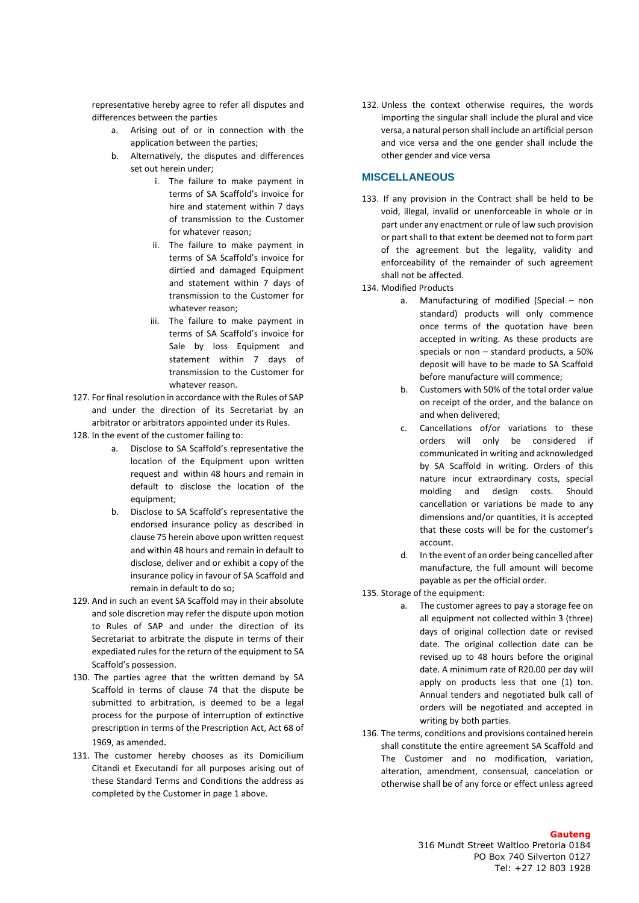representative hereby agree to refer all disputes and differences between the parties

- a. Arising out of or in connection with the application between the parties;
- b. Alternatively, the disputes and differences set out herein under;
	- i. The failure to make payment in terms of SA Scaffold's invoice for hire and statement within 7 days of transmission to the Customer for whatever reason;
	- ii. The failure to make payment in terms of SA Scaffold's invoice for dirtied and damaged Equipment and statement within 7 days of transmission to the Customer for whatever reason;
	- iii. The failure to make payment in terms of SA Scaffold's invoice for Sale by loss Equipment and statement within 7 days of transmission to the Customer for whatever reason.
- 127. For final resolution in accordance with the Rules of SAP and under the direction of its Secretariat by an arbitrator or arbitrators appointed under its Rules.
- 128. In the event of the customer failing to:
	- a. Disclose to SA Scaffold's representative the location of the Equipment upon written request and within 48 hours and remain in default to disclose the location of the equipment;
	- b. Disclose to SA Scaffold's representative the endorsed insurance policy as described in clause 75 herein above upon written request and within 48 hours and remain in default to disclose, deliver and or exhibit a copy of the insurance policy in favour of SA Scaffold and remain in default to do so;
- 129. And in such an event SA Scaffold may in their absolute and sole discretion may refer the dispute upon motion to Rules of SAP and under the direction of its Secretariat to arbitrate the dispute in terms of their expediated rules for the return of the equipment to SA Scaffold's possession.
- 130. The parties agree that the written demand by SA Scaffold in terms of clause 74 that the dispute be submitted to arbitration, is deemed to be a legal process for the purpose of interruption of extinctive prescription in terms of the Prescription Act, Act 68 of 1969, as amended.
- 131. The customer hereby chooses as its Domicilium Citandi et Executandi for all purposes arising out of these Standard Terms and Conditions the address as completed by the Customer in page 1 above.

132. Unless the context otherwise requires, the words importing the singular shall include the plural and vice versa, a natural person shall include an artificial person and vice versa and the one gender shall include the other gender and vice versa

## **MISCELLANEOUS**

- 133. If any provision in the Contract shall be held to be void, illegal, invalid or unenforceable in whole or in part under any enactment or rule of law such provision or part shall to that extent be deemed not to form part of the agreement but the legality, validity and enforceability of the remainder of such agreement shall not be affected.
- 134. Modified Products
	- a. Manufacturing of modified (Special non standard) products will only commence once terms of the quotation have been accepted in writing. As these products are specials or non – standard products, a 50% deposit will have to be made to SA Scaffold before manufacture will commence;
	- b. Customers with 50% of the total order value on receipt of the order, and the balance on and when delivered;
	- c. Cancellations of/or variations to these orders will only be considered if communicated in writing and acknowledged by SA Scaffold in writing. Orders of this nature incur extraordinary costs, special molding and design costs. Should cancellation or variations be made to any dimensions and/or quantities, it is accepted that these costs will be for the customer's account.
	- d. In the event of an order being cancelled after manufacture, the full amount will become payable as per the official order.
- 135. Storage of the equipment:
	- a. The customer agrees to pay a storage fee on all equipment not collected within 3 (three) days of original collection date or revised date. The original collection date can be revised up to 48 hours before the original date. A minimum rate of R20.00 per day will apply on products less that one (1) ton. Annual tenders and negotiated bulk call of orders will be negotiated and accepted in writing by both parties.
- 136. The terms, conditions and provisions contained herein shall constitute the entire agreement SA Scaffold and The Customer and no modification, variation, alteration, amendment, consensual, cancelation or otherwise shall be of any force or effect unless agreed

## **Gauteng**